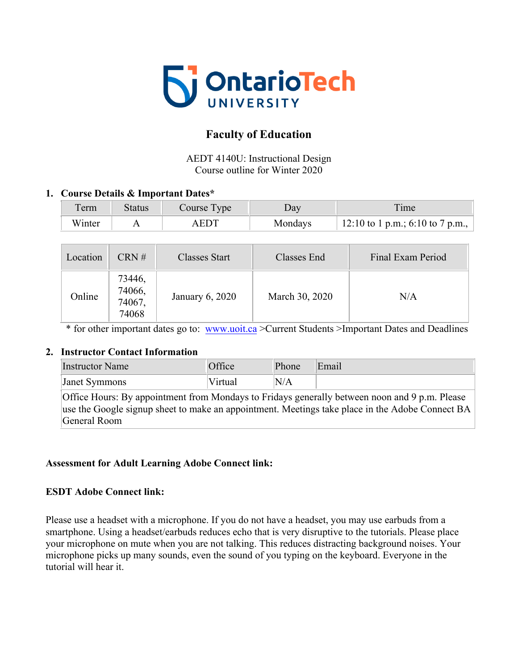

# **Faculty of Education**

AEDT 4140U: Instructional Design Course outline for Winter 2020

# **1. Course Details & Important Dates\***

| rerm   | <b>Status</b> | Course Type | Dav     | Time                             |
|--------|---------------|-------------|---------|----------------------------------|
| Winter |               | <b>AEDT</b> | Mondays | 12:10 to 1 p.m.; 6:10 to 7 p.m., |

| Location | CRN#                                | <b>Classes Start</b> | <b>Classes End</b> | Final Exam Period |
|----------|-------------------------------------|----------------------|--------------------|-------------------|
| Online   | 73446,<br>74066,<br>74067,<br>74068 | January 6, 2020      | March 30, 2020     | N/A               |

\* for other important dates go to: www.uoit.ca >Current Students >Important Dates and Deadlines

#### **2. Instructor Contact Information**

| <b>Instructor Name</b> | <b>T</b> fice | Phone | Email |
|------------------------|---------------|-------|-------|
| Janet Symmons          | 'ırtual       | N/A   |       |

Office Hours: By appointment from Mondays to Fridays generally between noon and 9 p.m. Please use the Google signup sheet to make an appointment. Meetings take place in the Adobe Connect BA General Room

# **Assessment for Adult Learning Adobe Connect link:**

# **ESDT Adobe Connect link:**

Please use a headset with a microphone. If you do not have a headset, you may use earbuds from a smartphone. Using a headset/earbuds reduces echo that is very disruptive to the tutorials. Please place your microphone on mute when you are not talking. This reduces distracting background noises. Your microphone picks up many sounds, even the sound of you typing on the keyboard. Everyone in the tutorial will hear it.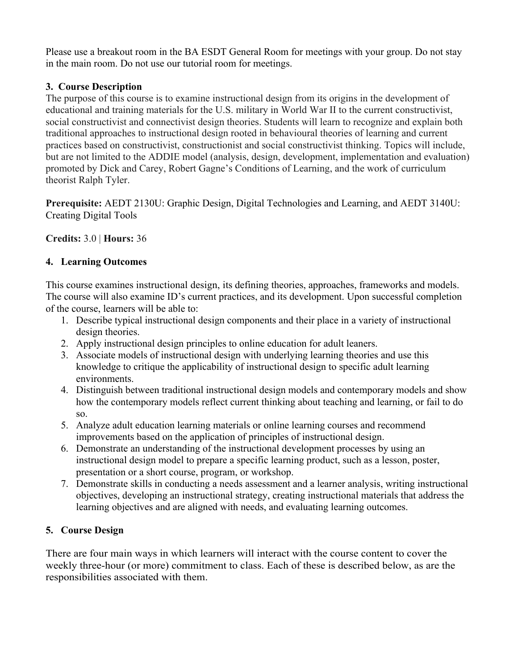Please use a breakout room in the BA ESDT General Room for meetings with your group. Do not stay in the main room. Do not use our tutorial room for meetings.

# **3. Course Description**

The purpose of this course is to examine instructional design from its origins in the development of educational and training materials for the U.S. military in World War II to the current constructivist, social constructivist and connectivist design theories. Students will learn to recognize and explain both traditional approaches to instructional design rooted in behavioural theories of learning and current practices based on constructivist, constructionist and social constructivist thinking. Topics will include, but are not limited to the ADDIE model (analysis, design, development, implementation and evaluation) promoted by Dick and Carey, Robert Gagne's Conditions of Learning, and the work of curriculum theorist Ralph Tyler.

**Prerequisite:** AEDT 2130U: Graphic Design, Digital Technologies and Learning, and AEDT 3140U: Creating Digital Tools

**Credits:** 3.0 | **Hours:** 36

# **4. Learning Outcomes**

This course examines instructional design, its defining theories, approaches, frameworks and models. The course will also examine ID's current practices, and its development. Upon successful completion of the course, learners will be able to:

- 1. Describe typical instructional design components and their place in a variety of instructional design theories.
- 2. Apply instructional design principles to online education for adult leaners.
- 3. Associate models of instructional design with underlying learning theories and use this knowledge to critique the applicability of instructional design to specific adult learning environments.
- 4. Distinguish between traditional instructional design models and contemporary models and show how the contemporary models reflect current thinking about teaching and learning, or fail to do so.
- 5. Analyze adult education learning materials or online learning courses and recommend improvements based on the application of principles of instructional design.
- 6. Demonstrate an understanding of the instructional development processes by using an instructional design model to prepare a specific learning product, such as a lesson, poster, presentation or a short course, program, or workshop.
- 7. Demonstrate skills in conducting a needs assessment and a learner analysis, writing instructional objectives, developing an instructional strategy, creating instructional materials that address the learning objectives and are aligned with needs, and evaluating learning outcomes.

# **5. Course Design**

There are four main ways in which learners will interact with the course content to cover the weekly three-hour (or more) commitment to class. Each of these is described below, as are the responsibilities associated with them.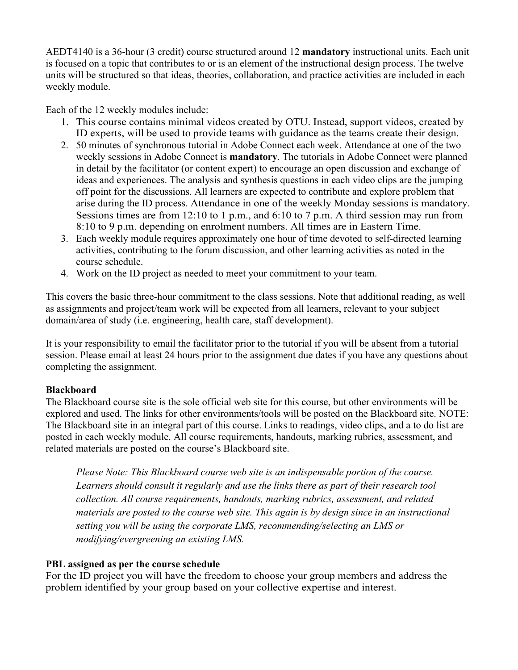AEDT4140 is a 36-hour (3 credit) course structured around 12 **mandatory** instructional units. Each unit is focused on a topic that contributes to or is an element of the instructional design process. The twelve units will be structured so that ideas, theories, collaboration, and practice activities are included in each weekly module.

Each of the 12 weekly modules include:

- 1. This course contains minimal videos created by OTU. Instead, support videos, created by ID experts, will be used to provide teams with guidance as the teams create their design.
- 2. 50 minutes of synchronous tutorial in Adobe Connect each week. Attendance at one of the two weekly sessions in Adobe Connect is **mandatory**. The tutorials in Adobe Connect were planned in detail by the facilitator (or content expert) to encourage an open discussion and exchange of ideas and experiences. The analysis and synthesis questions in each video clips are the jumping off point for the discussions. All learners are expected to contribute and explore problem that arise during the ID process. Attendance in one of the weekly Monday sessions is mandatory. Sessions times are from 12:10 to 1 p.m., and 6:10 to 7 p.m. A third session may run from 8:10 to 9 p.m. depending on enrolment numbers. All times are in Eastern Time.
- 3. Each weekly module requires approximately one hour of time devoted to self-directed learning activities, contributing to the forum discussion, and other learning activities as noted in the course schedule.
- 4. Work on the ID project as needed to meet your commitment to your team.

This covers the basic three-hour commitment to the class sessions. Note that additional reading, as well as assignments and project/team work will be expected from all learners, relevant to your subject domain/area of study (i.e. engineering, health care, staff development).

It is your responsibility to email the facilitator prior to the tutorial if you will be absent from a tutorial session. Please email at least 24 hours prior to the assignment due dates if you have any questions about completing the assignment.

#### **Blackboard**

The Blackboard course site is the sole official web site for this course, but other environments will be explored and used. The links for other environments/tools will be posted on the Blackboard site. NOTE: The Blackboard site in an integral part of this course. Links to readings, video clips, and a to do list are posted in each weekly module. All course requirements, handouts, marking rubrics, assessment, and related materials are posted on the course's Blackboard site.

*Please Note: This Blackboard course web site is an indispensable portion of the course. Learners should consult it regularly and use the links there as part of their research tool collection. All course requirements, handouts, marking rubrics, assessment, and related materials are posted to the course web site. This again is by design since in an instructional setting you will be using the corporate LMS, recommending/selecting an LMS or modifying/evergreening an existing LMS.*

#### **PBL assigned as per the course schedule**

For the ID project you will have the freedom to choose your group members and address the problem identified by your group based on your collective expertise and interest.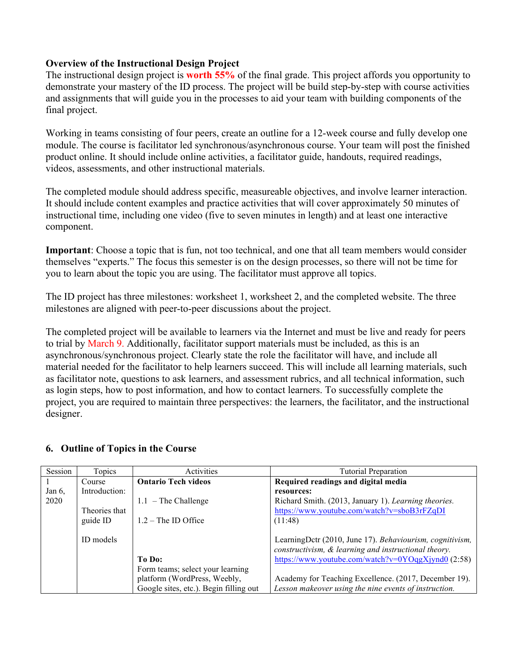#### **Overview of the Instructional Design Project**

The instructional design project is **worth 55%** of the final grade. This project affords you opportunity to demonstrate your mastery of the ID process. The project will be build step-by-step with course activities and assignments that will guide you in the processes to aid your team with building components of the final project.

Working in teams consisting of four peers, create an outline for a 12-week course and fully develop one module. The course is facilitator led synchronous/asynchronous course. Your team will post the finished product online. It should include online activities, a facilitator guide, handouts, required readings, videos, assessments, and other instructional materials.

The completed module should address specific, measureable objectives, and involve learner interaction. It should include content examples and practice activities that will cover approximately 50 minutes of instructional time, including one video (five to seven minutes in length) and at least one interactive component.

**Important**: Choose a topic that is fun, not too technical, and one that all team members would consider themselves "experts." The focus this semester is on the design processes, so there will not be time for you to learn about the topic you are using. The facilitator must approve all topics.

The ID project has three milestones: worksheet 1, worksheet 2, and the completed website. The three milestones are aligned with peer-to-peer discussions about the project.

The completed project will be available to learners via the Internet and must be live and ready for peers to trial by March 9. Additionally, facilitator support materials must be included, as this is an asynchronous/synchronous project. Clearly state the role the facilitator will have, and include all material needed for the facilitator to help learners succeed. This will include all learning materials, such as facilitator note, questions to ask learners, and assessment rubrics, and all technical information, such as login steps, how to post information, and how to contact learners. To successfully complete the project, you are required to maintain three perspectives: the learners, the facilitator, and the instructional designer.

#### **6. Outline of Topics in the Course**

| Session   | Topics        | Activities                             | <b>Tutorial Preparation</b>                              |
|-----------|---------------|----------------------------------------|----------------------------------------------------------|
|           | Course        | <b>Ontario Tech videos</b>             | Required readings and digital media                      |
| Jan $6$ , | Introduction: |                                        | resources:                                               |
| 2020      |               | $1.1$ – The Challenge                  | Richard Smith. (2013, January 1). Learning theories.     |
|           | Theories that |                                        | https://www.youtube.com/watch?v=sboB3rFZqDI              |
|           | guide ID      | $1.2$ – The ID Office                  | (11:48)                                                  |
|           |               |                                        |                                                          |
|           | ID models     |                                        | LearningDctr (2010, June 17). Behaviourism, cognitivism, |
|           |               |                                        | constructivism, & learning and instructional theory.     |
|           |               | To Do:                                 | https://www.youtube.com/watch?v=0YOqgXjynd0 $(2:58)$     |
|           |               | Form teams; select your learning       |                                                          |
|           |               | platform (WordPress, Weebly,           | Academy for Teaching Excellence. (2017, December 19).    |
|           |               | Google sites, etc.). Begin filling out | Lesson makeover using the nine events of instruction.    |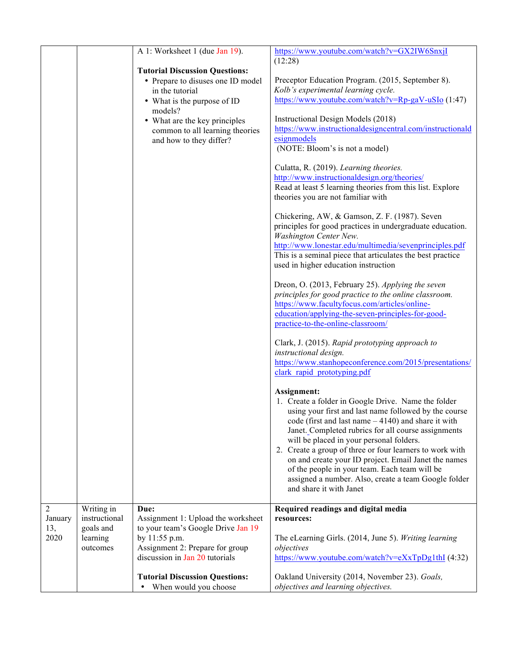| × | I                 |  |
|---|-------------------|--|
| × | í<br>I<br>۰.<br>v |  |
|   |                   |  |

|                           |                             | A 1: Worksheet 1 (due Jan 19).             | https://www.youtube.com/watch?v=GX2IW6SnxjI                                                                  |
|---------------------------|-----------------------------|--------------------------------------------|--------------------------------------------------------------------------------------------------------------|
|                           |                             | <b>Tutorial Discussion Questions:</b>      | (12:28)                                                                                                      |
|                           |                             | • Prepare to disuses one ID model          | Preceptor Education Program. (2015, September 8).                                                            |
|                           |                             | in the tutorial                            | Kolb's experimental learning cycle.                                                                          |
|                           |                             | • What is the purpose of ID<br>models?     | https://www.youtube.com/watch?v=Rp-gaV-uSIo (1:47)                                                           |
|                           |                             | • What are the key principles              | Instructional Design Models (2018)                                                                           |
|                           |                             | common to all learning theories            | https://www.instructionaldesigncentral.com/instructionald                                                    |
|                           |                             | and how to they differ?                    | esignmodels                                                                                                  |
|                           |                             |                                            | (NOTE: Bloom's is not a model)                                                                               |
|                           |                             |                                            | Culatta, R. (2019). Learning theories.                                                                       |
|                           |                             |                                            | http://www.instructionaldesign.org/theories/                                                                 |
|                           |                             |                                            | Read at least 5 learning theories from this list. Explore<br>theories you are not familiar with              |
|                           |                             |                                            |                                                                                                              |
|                           |                             |                                            | Chickering, AW, & Gamson, Z. F. (1987). Seven                                                                |
|                           |                             |                                            | principles for good practices in undergraduate education.<br>Washington Center New.                          |
|                           |                             |                                            | http://www.lonestar.edu/multimedia/sevenprinciples.pdf                                                       |
|                           |                             |                                            | This is a seminal piece that articulates the best practice                                                   |
|                           |                             |                                            | used in higher education instruction                                                                         |
|                           |                             |                                            | Dreon, O. (2013, February 25). Applying the seven                                                            |
|                           |                             |                                            | principles for good practice to the online classroom.                                                        |
|                           |                             |                                            | https://www.facultyfocus.com/articles/online-<br>education/applying-the-seven-principles-for-good-           |
|                           |                             |                                            | practice-to-the-online-classroom/                                                                            |
|                           |                             |                                            |                                                                                                              |
|                           |                             |                                            | Clark, J. (2015). Rapid prototyping approach to<br>instructional design.                                     |
|                           |                             |                                            | https://www.stanhopeconference.com/2015/presentations/                                                       |
|                           |                             |                                            | clark rapid prototyping.pdf                                                                                  |
|                           |                             |                                            | Assignment:                                                                                                  |
|                           |                             |                                            | 1. Create a folder in Google Drive. Name the folder                                                          |
|                           |                             |                                            | using your first and last name followed by the course                                                        |
|                           |                             |                                            | code (first and last name $-4140$ ) and share it with<br>Janet. Completed rubrics for all course assignments |
|                           |                             |                                            | will be placed in your personal folders.                                                                     |
|                           |                             |                                            | 2. Create a group of three or four learners to work with                                                     |
|                           |                             |                                            | on and create your ID project. Email Janet the names                                                         |
|                           |                             |                                            | of the people in your team. Each team will be<br>assigned a number. Also, create a team Google folder        |
|                           |                             |                                            | and share it with Janet                                                                                      |
|                           |                             |                                            |                                                                                                              |
| $\overline{2}$<br>January | Writing in<br>instructional | Due:<br>Assignment 1: Upload the worksheet | Required readings and digital media<br>resources:                                                            |
| 13,                       | goals and                   | to your team's Google Drive Jan 19         |                                                                                                              |
| 2020                      | learning                    | by 11:55 p.m.                              | The eLearning Girls. (2014, June 5). Writing learning                                                        |
|                           | outcomes                    | Assignment 2: Prepare for group            | objectives                                                                                                   |
|                           |                             | discussion in Jan 20 tutorials             | https://www.youtube.com/watch?v=eXxTpDg1thI $(4:32)$                                                         |
|                           |                             | <b>Tutorial Discussion Questions:</b>      | Oakland University (2014, November 23). Goals,                                                               |
|                           |                             | When would you choose                      | objectives and learning objectives.                                                                          |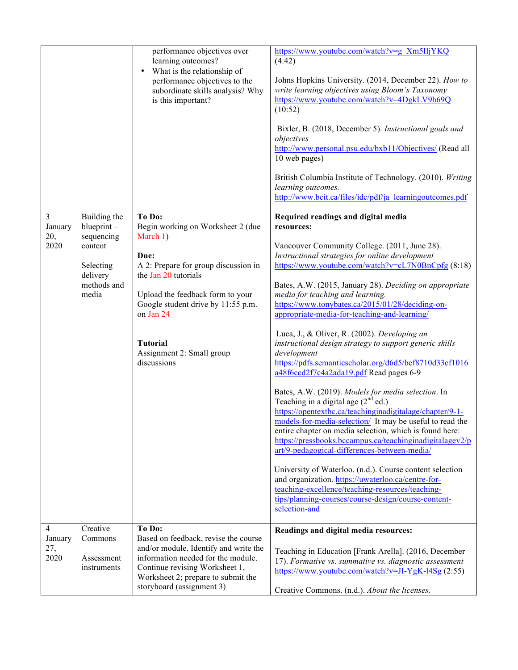|                                          |                                                     | performance objectives over<br>learning outcomes?<br>What is the relationship of<br>$\bullet$<br>performance objectives to the<br>subordinate skills analysis? Why<br>is this important?                                           | https://www.youtube.com/watch?v=g_Xm5IIjYKQ<br>(4:42)<br>Johns Hopkins University. (2014, December 22). How to<br>write learning objectives using Bloom's Taxonomy<br>https://www.youtube.com/watch?v=4DgkLV9h69Q<br>(10:52)<br>Bixler, B. (2018, December 5). Instructional goals and<br>objectives<br>http://www.personal.psu.edu/bxb11/Objectives/ (Read all<br>10 web pages)<br>British Columbia Institute of Technology. (2010). Writing<br>learning outcomes.<br>http://www.bcit.ca/files/idc/pdf/ja learningoutcomes.pdf                                                                                                                                                                                                                                                                                                                                                                                                                                                                                                                                                                                                  |
|------------------------------------------|-----------------------------------------------------|------------------------------------------------------------------------------------------------------------------------------------------------------------------------------------------------------------------------------------|----------------------------------------------------------------------------------------------------------------------------------------------------------------------------------------------------------------------------------------------------------------------------------------------------------------------------------------------------------------------------------------------------------------------------------------------------------------------------------------------------------------------------------------------------------------------------------------------------------------------------------------------------------------------------------------------------------------------------------------------------------------------------------------------------------------------------------------------------------------------------------------------------------------------------------------------------------------------------------------------------------------------------------------------------------------------------------------------------------------------------------|
| 3<br>January<br>20,<br>2020              | Building the<br>blueprint-<br>sequencing<br>content | To Do:<br>Begin working on Worksheet 2 (due<br>March 1)<br>Due:                                                                                                                                                                    | Required readings and digital media<br>resources:<br>Vancouver Community College. (2011, June 28).<br>Instructional strategies for online development                                                                                                                                                                                                                                                                                                                                                                                                                                                                                                                                                                                                                                                                                                                                                                                                                                                                                                                                                                            |
|                                          | Selecting<br>delivery<br>methods and<br>media       | A 2: Prepare for group discussion in<br>the Jan 20 tutorials<br>Upload the feedback form to your<br>Google student drive by 11:55 p.m.<br>on Jan 24<br><b>Tutorial</b><br>Assignment 2: Small group<br>discussions                 | https://www.youtube.com/watch?v=cL7N0BnCpfg (8:18)<br>Bates, A.W. (2015, January 28). Deciding on appropriate<br>media for teaching and learning.<br>https://www.tonybates.ca/2015/01/28/deciding-on-<br>appropriate-media-for-teaching-and-learning/<br>Luca, J., & Oliver, R. (2002). Developing an<br>instructional design strategy to support generic skills<br>development<br>https://pdfs.semanticscholar.org/d6d5/bef8710d33ef1016<br>a48f6ccd2f7c4a2ada19.pdf Read pages 6-9<br>Bates, A.W. (2019). Models for media selection. In<br>Teaching in a digital age $(2nd$ ed.)<br>https://opentextbc.ca/teachinginadigitalage/chapter/9-1-<br>models-for-media-selection/ It may be useful to read the<br>entire chapter on media selection, which is found here:<br>https://pressbooks.bccampus.ca/teachinginadigitalagev2/p<br>art/9-pedagogical-differences-between-media/<br>University of Waterloo. (n.d.). Course content selection<br>and organization. https://uwaterloo.ca/centre-for-<br>teaching-excellence/teaching-resources/teaching-<br>tips/planning-courses/course-design/course-content-<br>selection-and |
| $\overline{4}$<br>January<br>27,<br>2020 | Creative<br>Commons<br>Assessment<br>instruments    | To Do:<br>Based on feedback, revise the course<br>and/or module. Identify and write the<br>information needed for the module.<br>Continue revising Worksheet 1,<br>Worksheet 2; prepare to submit the<br>storyboard (assignment 3) | Readings and digital media resources:<br>Teaching in Education [Frank Arella]. (2016, December<br>17). Formative vs. summative vs. diagnostic assessment<br>https://www.youtube.com/watch?v=JI-YgK-l4Sg $(2:55)$<br>Creative Commons. (n.d.). About the licenses.                                                                                                                                                                                                                                                                                                                                                                                                                                                                                                                                                                                                                                                                                                                                                                                                                                                                |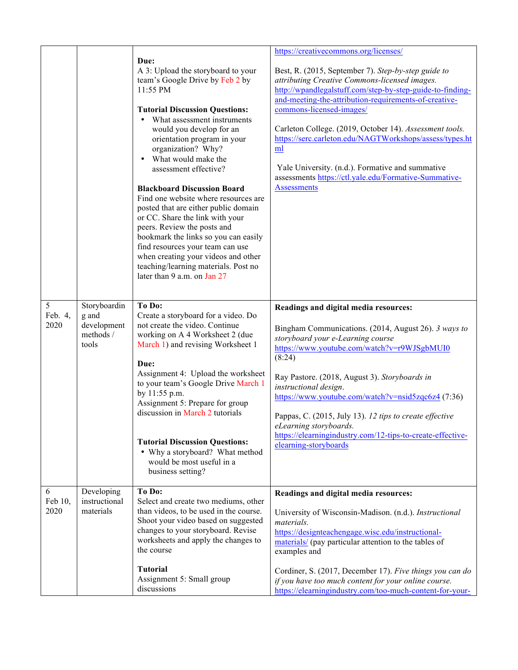|                      |                                                            | Due:<br>A 3: Upload the storyboard to your<br>team's Google Drive by Feb 2 by<br>11:55 PM<br><b>Tutorial Discussion Questions:</b><br>What assessment instruments<br>would you develop for an<br>orientation program in your<br>organization? Why?<br>What would make the<br>assessment effective?<br><b>Blackboard Discussion Board</b><br>Find one website where resources are<br>posted that are either public domain<br>or CC. Share the link with your<br>peers. Review the posts and<br>bookmark the links so you can easily<br>find resources your team can use<br>when creating your videos and other<br>teaching/learning materials. Post no<br>later than 9 a.m. on Jan 27 | https://creativecommons.org/licenses/<br>Best, R. (2015, September 7). Step-by-step guide to<br>attributing Creative Commons-licensed images.<br>http://wpandlegalstuff.com/step-by-step-guide-to-finding-<br>and-meeting-the-attribution-requirements-of-creative-<br>commons-licensed-images/<br>Carleton College. (2019, October 14). Assessment tools.<br>https://serc.carleton.edu/NAGTWorkshops/assess/types.ht<br>ml<br>Yale University. (n.d.). Formative and summative<br>assessments https://ctl.yale.edu/Formative-Summative-<br><b>Assessments</b> |
|----------------------|------------------------------------------------------------|--------------------------------------------------------------------------------------------------------------------------------------------------------------------------------------------------------------------------------------------------------------------------------------------------------------------------------------------------------------------------------------------------------------------------------------------------------------------------------------------------------------------------------------------------------------------------------------------------------------------------------------------------------------------------------------|----------------------------------------------------------------------------------------------------------------------------------------------------------------------------------------------------------------------------------------------------------------------------------------------------------------------------------------------------------------------------------------------------------------------------------------------------------------------------------------------------------------------------------------------------------------|
| 5<br>Feb. 4,<br>2020 | Storyboardin<br>g and<br>development<br>methods /<br>tools | To Do:<br>Create a storyboard for a video. Do<br>not create the video. Continue<br>working on A 4 Worksheet 2 (due<br>March 1) and revising Worksheet 1<br>Due:<br>Assignment 4: Upload the worksheet<br>to your team's Google Drive March 1<br>by 11:55 p.m.<br>Assignment 5: Prepare for group<br>discussion in March 2 tutorials<br><b>Tutorial Discussion Questions:</b><br>• Why a storyboard? What method<br>would be most useful in a<br>business setting?                                                                                                                                                                                                                    | Readings and digital media resources:<br>Bingham Communications. (2014, August 26). 3 ways to<br>storyboard your e-Learning course<br>https://www.youtube.com/watch?v=r9WJSgbMUI0<br>(8:24)<br>Ray Pastore. (2018, August 3). Storyboards in<br>instructional design.<br>https://www.youtube.com/watch?v=nsid5zqc6z4 (7:36)<br>Pappas, C. (2015, July 13). 12 tips to create effective<br>eLearning storyboards.<br>https://elearningindustry.com/12-tips-to-create-effective-<br>elearning-storyboards                                                        |
| 6<br>Feb 10,<br>2020 | Developing<br>instructional<br>materials                   | To Do:<br>Select and create two mediums, other<br>than videos, to be used in the course.<br>Shoot your video based on suggested<br>changes to your storyboard. Revise<br>worksheets and apply the changes to<br>the course<br><b>Tutorial</b><br>Assignment 5: Small group<br>discussions                                                                                                                                                                                                                                                                                                                                                                                            | Readings and digital media resources:<br>University of Wisconsin-Madison. (n.d.). Instructional<br>materials.<br>https://designteachengage.wisc.edu/instructional-<br>materials/ (pay particular attention to the tables of<br>examples and<br>Cordiner, S. (2017, December 17). Five things you can do<br>if you have too much content for your online course.<br>https://elearningindustry.com/too-much-content-for-your-                                                                                                                                    |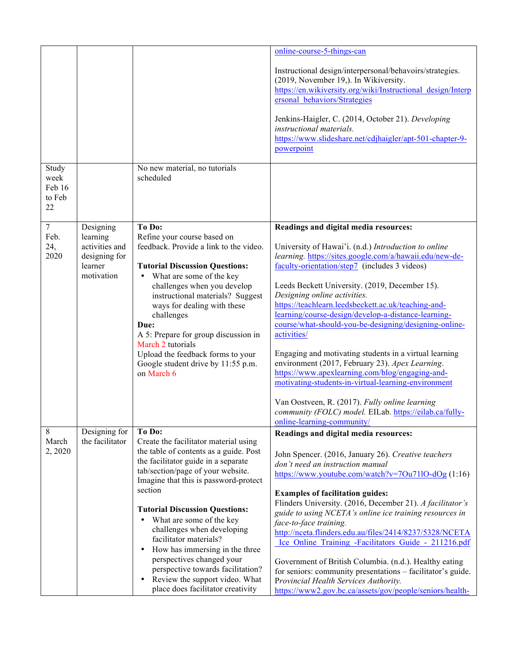|                                         |                                                                      |                                                                                                                                                                                                                                                                                                                                                                                                                          | online-course-5-things-can                                                                                                                                                                                                                                                                                                                                                                                                                                                                                                                                                                                                                                                                                                                                                  |
|-----------------------------------------|----------------------------------------------------------------------|--------------------------------------------------------------------------------------------------------------------------------------------------------------------------------------------------------------------------------------------------------------------------------------------------------------------------------------------------------------------------------------------------------------------------|-----------------------------------------------------------------------------------------------------------------------------------------------------------------------------------------------------------------------------------------------------------------------------------------------------------------------------------------------------------------------------------------------------------------------------------------------------------------------------------------------------------------------------------------------------------------------------------------------------------------------------------------------------------------------------------------------------------------------------------------------------------------------------|
|                                         |                                                                      |                                                                                                                                                                                                                                                                                                                                                                                                                          | Instructional design/interpersonal/behavoirs/strategies.<br>(2019, November 19,). In Wikiversity.<br>https://en.wikiversity.org/wiki/Instructional design/Interp<br>ersonal behaviors/Strategies                                                                                                                                                                                                                                                                                                                                                                                                                                                                                                                                                                            |
|                                         |                                                                      |                                                                                                                                                                                                                                                                                                                                                                                                                          | Jenkins-Haigler, C. (2014, October 21). Developing<br>instructional materials.<br>https://www.slideshare.net/cdjhaigler/apt-501-chapter-9-<br>powerpoint                                                                                                                                                                                                                                                                                                                                                                                                                                                                                                                                                                                                                    |
| Study<br>week<br>Feb 16<br>to Feb<br>22 |                                                                      | No new material, no tutorials<br>scheduled                                                                                                                                                                                                                                                                                                                                                                               |                                                                                                                                                                                                                                                                                                                                                                                                                                                                                                                                                                                                                                                                                                                                                                             |
| $\overline{7}$                          | Designing                                                            | To Do:                                                                                                                                                                                                                                                                                                                                                                                                                   | Readings and digital media resources:                                                                                                                                                                                                                                                                                                                                                                                                                                                                                                                                                                                                                                                                                                                                       |
| Feb.<br>24,<br>2020                     | learning<br>activities and<br>designing for<br>learner<br>motivation | Refine your course based on<br>feedback. Provide a link to the video.<br><b>Tutorial Discussion Questions:</b><br>What are some of the key<br>challenges when you develop<br>instructional materials? Suggest<br>ways for dealing with these<br>challenges<br>Due:<br>A 5: Prepare for group discussion in<br>March 2 tutorials<br>Upload the feedback forms to your<br>Google student drive by 11:55 p.m.<br>on March 6 | University of Hawai'i. (n.d.) Introduction to online<br>learning. https://sites.google.com/a/hawaii.edu/new-de-<br>faculty-orientation/step7 (includes 3 videos)<br>Leeds Beckett University. (2019, December 15).<br>Designing online activities.<br>https://teachlearn.leedsbeckett.ac.uk/teaching-and-<br>learning/course-design/develop-a-distance-learning-<br>course/what-should-you-be-designing/designing-online-<br>activities/<br>Engaging and motivating students in a virtual learning<br>environment (2017, February 23). Apex Learning.<br>https://www.apexlearning.com/blog/engaging-and-<br>motivating-students-in-virtual-learning-environment<br>Van Oostveen, R. (2017). Fully online learning<br>community (FOLC) model. EILab. https://eilab.ca/fully- |
| 8                                       | Designing for                                                        | To Do:                                                                                                                                                                                                                                                                                                                                                                                                                   | online-learning-community/<br>Readings and digital media resources:                                                                                                                                                                                                                                                                                                                                                                                                                                                                                                                                                                                                                                                                                                         |
| March<br>2,2020                         | the facilitator                                                      | Create the facilitator material using<br>the table of contents as a guide. Post<br>the facilitator guide in a separate<br>tab/section/page of your website.<br>Imagine that this is password-protect<br>section                                                                                                                                                                                                          | John Spencer. (2016, January 26). Creative teachers<br>don't need an instruction manual<br>https://www.youtube.com/watch?v=7Ou711O-dOg $(1:16)$<br><b>Examples of facilitation guides:</b><br>Flinders University. (2016, December 21). A facilitator's                                                                                                                                                                                                                                                                                                                                                                                                                                                                                                                     |
|                                         |                                                                      | <b>Tutorial Discussion Questions:</b><br>What are some of the key<br>challenges when developing<br>facilitator materials?<br>How has immersing in the three<br>perspectives changed your<br>perspective towards facilitation?<br>Review the support video. What                                                                                                                                                          | guide to using NCETA's online ice training resources in<br>face-to-face training.<br>http://nceta.flinders.edu.au/files/2414/8237/5328/NCETA<br>Ice Online Training -Facilitators Guide - 211216.pdf<br>Government of British Columbia. (n.d.). Healthy eating<br>for seniors: community presentations - facilitator's guide.                                                                                                                                                                                                                                                                                                                                                                                                                                               |
|                                         |                                                                      | place does facilitator creativity                                                                                                                                                                                                                                                                                                                                                                                        | Provincial Health Services Authority.<br>https://www2.gov.bc.ca/assets/gov/people/seniors/health-                                                                                                                                                                                                                                                                                                                                                                                                                                                                                                                                                                                                                                                                           |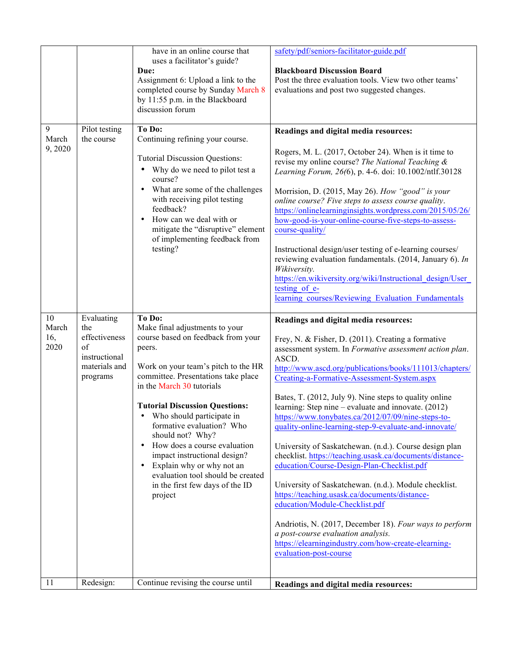|                            |                                                                                        | have in an online course that                                                                                                                                                                                                                                                                                                                                                                                                                                                                                                                     | safety/pdf/seniors-facilitator-guide.pdf                                                                                                                                                                                                                                                                                                                                                                                                                                                                                                                                                                                                                                                                                                                                                                                                                                                                                                                                                                    |
|----------------------------|----------------------------------------------------------------------------------------|---------------------------------------------------------------------------------------------------------------------------------------------------------------------------------------------------------------------------------------------------------------------------------------------------------------------------------------------------------------------------------------------------------------------------------------------------------------------------------------------------------------------------------------------------|-------------------------------------------------------------------------------------------------------------------------------------------------------------------------------------------------------------------------------------------------------------------------------------------------------------------------------------------------------------------------------------------------------------------------------------------------------------------------------------------------------------------------------------------------------------------------------------------------------------------------------------------------------------------------------------------------------------------------------------------------------------------------------------------------------------------------------------------------------------------------------------------------------------------------------------------------------------------------------------------------------------|
|                            |                                                                                        | uses a facilitator's guide?<br>Due:<br>Assignment 6: Upload a link to the<br>completed course by Sunday March 8<br>by 11:55 p.m. in the Blackboard<br>discussion forum                                                                                                                                                                                                                                                                                                                                                                            | <b>Blackboard Discussion Board</b><br>Post the three evaluation tools. View two other teams'<br>evaluations and post two suggested changes.                                                                                                                                                                                                                                                                                                                                                                                                                                                                                                                                                                                                                                                                                                                                                                                                                                                                 |
| 9<br>March<br>9,2020       | Pilot testing<br>the course                                                            | To Do:<br>Continuing refining your course.<br><b>Tutorial Discussion Questions:</b><br>Why do we need to pilot test a<br>course?<br>What are some of the challenges<br>with receiving pilot testing<br>feedback?<br>How can we deal with or<br>mitigate the "disruptive" element<br>of implementing feedback from<br>testing?                                                                                                                                                                                                                     | Readings and digital media resources:<br>Rogers, M. L. (2017, October 24). When is it time to<br>revise my online course? The National Teaching &<br>Learning Forum, 26(6), p. 4-6. doi: 10.1002/ntlf.30128<br>Morrision, D. (2015, May 26). How "good" is your<br>online course? Five steps to assess course quality.<br>https://onlinelearninginsights.wordpress.com/2015/05/26/<br>how-good-is-your-online-course-five-steps-to-assess-<br>course-quality/<br>Instructional design/user testing of e-learning courses/<br>reviewing evaluation fundamentals. (2014, January 6). In<br>Wikiversity.<br>https://en.wikiversity.org/wiki/Instructional design/User<br>testing of e-<br>learning courses/Reviewing Evaluation Fundamentals                                                                                                                                                                                                                                                                   |
| 10<br>March<br>16,<br>2020 | Evaluating<br>the<br>effectiveness<br>of<br>instructional<br>materials and<br>programs | To Do:<br>Make final adjustments to your<br>course based on feedback from your<br>peers.<br>Work on your team's pitch to the HR<br>committee. Presentations take place<br>in the March 30 tutorials<br><b>Tutorial Discussion Questions:</b><br>Who should participate in<br>$\bullet$<br>formative evaluation? Who<br>should not? Why?<br>How does a course evaluation<br>$\bullet$<br>impact instructional design?<br>Explain why or why not an<br>$\bullet$<br>evaluation tool should be created<br>in the first few days of the ID<br>project | Readings and digital media resources:<br>Frey, N. & Fisher, D. (2011). Creating a formative<br>assessment system. In Formative assessment action plan.<br>ASCD.<br>http://www.ascd.org/publications/books/111013/chapters/<br>Creating-a-Formative-Assessment-System.aspx<br>Bates, T. (2012, July 9). Nine steps to quality online<br>learning: Step nine – evaluate and innovate. (2012)<br>https://www.tonybates.ca/2012/07/09/nine-steps-to-<br>quality-online-learning-step-9-evaluate-and-innovate/<br>University of Saskatchewan. (n.d.). Course design plan<br>checklist. https://teaching.usask.ca/documents/distance-<br>education/Course-Design-Plan-Checklist.pdf<br>University of Saskatchewan. (n.d.). Module checklist.<br>https://teaching.usask.ca/documents/distance-<br>education/Module-Checklist.pdf<br>Andriotis, N. (2017, December 18). Four ways to perform<br>a post-course evaluation analysis.<br>https://elearningindustry.com/how-create-elearning-<br>evaluation-post-course |
| 11                         | Redesign:                                                                              | Continue revising the course until                                                                                                                                                                                                                                                                                                                                                                                                                                                                                                                | Readings and digital media resources:                                                                                                                                                                                                                                                                                                                                                                                                                                                                                                                                                                                                                                                                                                                                                                                                                                                                                                                                                                       |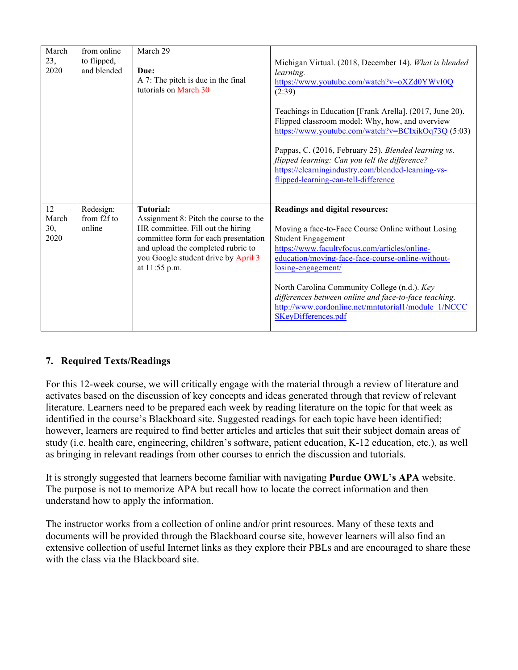| March<br>23,<br>2020 | from online<br>to flipped,<br>and blended | March 29<br>Due:<br>A 7: The pitch is due in the final<br>futorials on March 30 | Michigan Virtual. (2018, December 14). What is blended<br>learning.<br>https://www.youtube.com/watch?v=oXZd0YWvI0Q<br>(2:39)<br>Teachings in Education [Frank Arella]. (2017, June 20).<br>Flipped classroom model: Why, how, and overview<br>https://www.youtube.com/watch?v=BCIxikOq73Q (5:03) |
|----------------------|-------------------------------------------|---------------------------------------------------------------------------------|--------------------------------------------------------------------------------------------------------------------------------------------------------------------------------------------------------------------------------------------------------------------------------------------------|
|                      |                                           |                                                                                 | Pappas, C. (2016, February 25). Blended learning vs.<br>flipped learning: Can you tell the difference?<br>https://elearningindustry.com/blended-learning-vs-<br>flipped-learning-can-tell-difference                                                                                             |
| 12                   | Redesign:                                 | <b>Tutorial:</b>                                                                | Readings and digital resources:                                                                                                                                                                                                                                                                  |
| March<br>30,         | from f2f to<br>online                     | Assignment 8: Pitch the course to the<br>HR committee. Fill out the hiring      | Moving a face-to-Face Course Online without Losing                                                                                                                                                                                                                                               |
| 2020                 |                                           | committee form for each presentation                                            | <b>Student Engagement</b>                                                                                                                                                                                                                                                                        |
|                      |                                           | and upload the completed rubric to                                              | https://www.facultyfocus.com/articles/online-                                                                                                                                                                                                                                                    |
|                      |                                           | you Google student drive by April 3<br>at 11:55 p.m.                            | education/moving-face-face-course-online-without-<br>losing-engagement/                                                                                                                                                                                                                          |
|                      |                                           |                                                                                 | North Carolina Community College (n.d.). Key<br>differences between online and face-to-face teaching.<br>http://www.cordonline.net/mntutorial1/module 1/NCCC<br>SKeyDifferences.pdf                                                                                                              |

# **7. Required Texts/Readings**

For this 12-week course, we will critically engage with the material through a review of literature and activates based on the discussion of key concepts and ideas generated through that review of relevant literature. Learners need to be prepared each week by reading literature on the topic for that week as identified in the course's Blackboard site. Suggested readings for each topic have been identified; however, learners are required to find better articles and articles that suit their subject domain areas of study (i.e. health care, engineering, children's software, patient education, K-12 education, etc.), as well as bringing in relevant readings from other courses to enrich the discussion and tutorials.

It is strongly suggested that learners become familiar with navigating **Purdue OWL's APA** website. The purpose is not to memorize APA but recall how to locate the correct information and then understand how to apply the information.

The instructor works from a collection of online and/or print resources. Many of these texts and documents will be provided through the Blackboard course site, however learners will also find an extensive collection of useful Internet links as they explore their PBLs and are encouraged to share these with the class via the Blackboard site.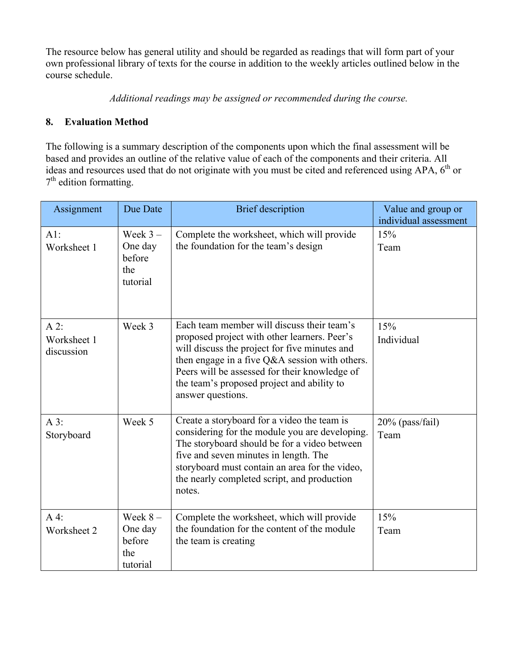The resource below has general utility and should be regarded as readings that will form part of your own professional library of texts for the course in addition to the weekly articles outlined below in the course schedule.

*Additional readings may be assigned or recommended during the course.*

# **8. Evaluation Method**

The following is a summary description of the components upon which the final assessment will be based and provides an outline of the relative value of each of the components and their criteria. All ideas and resources used that do not originate with you must be cited and referenced using APA, 6<sup>th</sup> or  $7<sup>th</sup>$  edition formatting.

| Assignment                          | Due Date                                           | <b>Brief</b> description                                                                                                                                                                                                                                                                                          | Value and group or<br>individual assessment |
|-------------------------------------|----------------------------------------------------|-------------------------------------------------------------------------------------------------------------------------------------------------------------------------------------------------------------------------------------------------------------------------------------------------------------------|---------------------------------------------|
| AI:<br>Worksheet 1                  | Week $3 -$<br>One day<br>before<br>the<br>tutorial | Complete the worksheet, which will provide<br>the foundation for the team's design                                                                                                                                                                                                                                | 15%<br>Team                                 |
| $A$ 2:<br>Worksheet 1<br>discussion | Week 3                                             | Each team member will discuss their team's<br>proposed project with other learners. Peer's<br>will discuss the project for five minutes and<br>then engage in a five Q&A session with others.<br>Peers will be assessed for their knowledge of<br>the team's proposed project and ability to<br>answer questions. | 15%<br>Individual                           |
| $A3$ :<br>Storyboard                | Week 5                                             | Create a storyboard for a video the team is<br>considering for the module you are developing.<br>The storyboard should be for a video between<br>five and seven minutes in length. The<br>storyboard must contain an area for the video,<br>the nearly completed script, and production<br>notes.                 | $20\%$ (pass/fail)<br>Team                  |
| $A4$ :<br>Worksheet 2               | Week $8-$<br>One day<br>before<br>the<br>tutorial  | Complete the worksheet, which will provide<br>the foundation for the content of the module<br>the team is creating                                                                                                                                                                                                | 15%<br>Team                                 |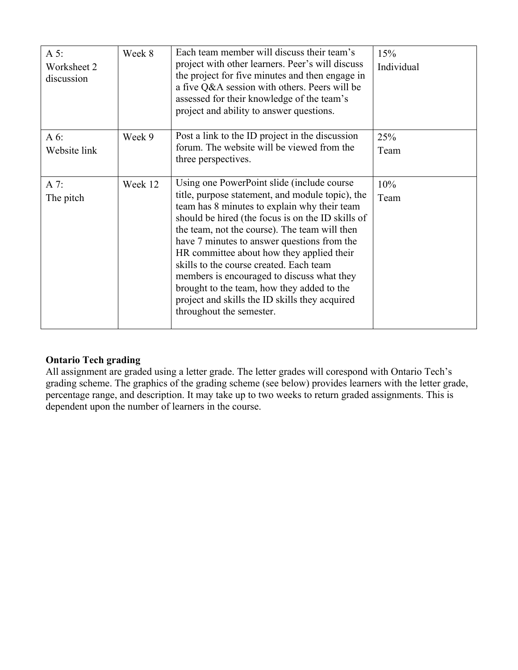| A $5$ :<br>Worksheet 2<br>discussion | Week 8  | Each team member will discuss their team's<br>project with other learners. Peer's will discuss<br>the project for five minutes and then engage in<br>a five Q&A session with others. Peers will be<br>assessed for their knowledge of the team's<br>project and ability to answer questions.                                                                                                                                                                                                                                                                           | 15%<br>Individual |
|--------------------------------------|---------|------------------------------------------------------------------------------------------------------------------------------------------------------------------------------------------------------------------------------------------------------------------------------------------------------------------------------------------------------------------------------------------------------------------------------------------------------------------------------------------------------------------------------------------------------------------------|-------------------|
| $A6$ :<br>Website link               | Week 9  | Post a link to the ID project in the discussion<br>forum. The website will be viewed from the<br>three perspectives.                                                                                                                                                                                                                                                                                                                                                                                                                                                   | 25%<br>Team       |
| A 7:<br>The pitch                    | Week 12 | Using one PowerPoint slide (include course)<br>title, purpose statement, and module topic), the<br>team has 8 minutes to explain why their team<br>should be hired (the focus is on the ID skills of<br>the team, not the course). The team will then<br>have 7 minutes to answer questions from the<br>HR committee about how they applied their<br>skills to the course created. Each team<br>members is encouraged to discuss what they<br>brought to the team, how they added to the<br>project and skills the ID skills they acquired<br>throughout the semester. | 10%<br>Team       |

# **Ontario Tech grading**

All assignment are graded using a letter grade. The letter grades will corespond with Ontario Tech's grading scheme. The graphics of the grading scheme (see below) provides learners with the letter grade, percentage range, and description. It may take up to two weeks to return graded assignments. This is dependent upon the number of learners in the course.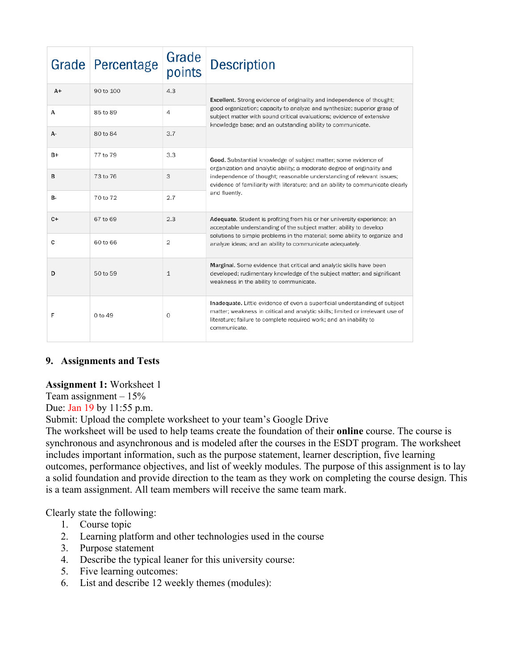| Grade     | Percentage | Grade<br>points | <b>Description</b>                                                                                                                                                                                                                                 |
|-----------|------------|-----------------|----------------------------------------------------------------------------------------------------------------------------------------------------------------------------------------------------------------------------------------------------|
| $A+$      | 90 to 100  | 4.3             | <b>Excellent.</b> Strong evidence of originality and independence of thought;                                                                                                                                                                      |
| А         | 85 to 89   | 4               | good organization; capacity to analyze and synthesize; superior grasp of<br>subject matter with sound critical evaluations; evidence of extensive<br>knowledge base; and an outstanding ability to communicate.                                    |
| А-        | 80 to 84   | 3.7             |                                                                                                                                                                                                                                                    |
| B+        | 77 to 79   | 3.3             | Good. Substantial knowledge of subject matter; some evidence of<br>organization and analytic ability; a moderate degree of originality and                                                                                                         |
| в         | 73 to 76   | 3               | independence of thought; reasonable understanding of relevant issues;<br>evidence of familiarity with literature; and an ability to communicate clearly                                                                                            |
| <b>B-</b> | 70 to 72   | 2.7             | and fluently.                                                                                                                                                                                                                                      |
| C+        | 67 to 69   | 2.3             | Adequate. Student is profiting from his or her university experience; an<br>acceptable understanding of the subject matter; ability to develop                                                                                                     |
| C         | 60 to 66   | $\overline{2}$  | solutions to simple problems in the material; some ability to organize and<br>analyze ideas; and an ability to communicate adequately.                                                                                                             |
| D         | 50 to 59   | $\mathbf{1}$    | Marginal. Some evidence that critical and analytic skills have been<br>developed; rudimentary knowledge of the subject matter; and significant<br>weakness in the ability to communicate.                                                          |
| F         | $0$ to 49  | 0               | Inadequate. Little evidence of even a superficial understanding of subject<br>matter; weakness in critical and analytic skills; limited or irrelevant use of<br>literature; failure to complete required work; and an inability to<br>communicate. |

#### **9. Assignments and Tests**

#### **Assignment 1:** Worksheet 1

Team assignment  $-15%$ 

Due: Jan 19 by 11:55 p.m.

Submit: Upload the complete worksheet to your team's Google Drive

The worksheet will be used to help teams create the foundation of their **online** course. The course is synchronous and asynchronous and is modeled after the courses in the ESDT program. The worksheet includes important information, such as the purpose statement, learner description, five learning outcomes, performance objectives, and list of weekly modules. The purpose of this assignment is to lay a solid foundation and provide direction to the team as they work on completing the course design. This is a team assignment. All team members will receive the same team mark.

Clearly state the following:

- 1. Course topic
- 2. Learning platform and other technologies used in the course
- 3. Purpose statement
- 4. Describe the typical leaner for this university course:
- 5. Five learning outcomes:
- 6. List and describe 12 weekly themes (modules):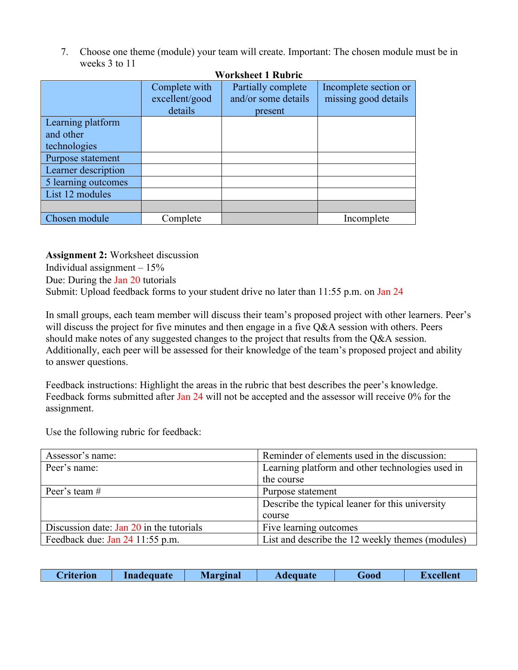7. Choose one theme (module) your team will create. Important: The chosen module must be in weeks 3 to 11 **Worksheet 1 Rubric**

| Worksheet 1 Rubric  |                |                     |                       |  |  |  |  |
|---------------------|----------------|---------------------|-----------------------|--|--|--|--|
|                     | Complete with  | Partially complete  | Incomplete section or |  |  |  |  |
|                     | excellent/good | and/or some details | missing good details  |  |  |  |  |
|                     | details        | present             |                       |  |  |  |  |
| Learning platform   |                |                     |                       |  |  |  |  |
| and other           |                |                     |                       |  |  |  |  |
| technologies        |                |                     |                       |  |  |  |  |
| Purpose statement   |                |                     |                       |  |  |  |  |
| Learner description |                |                     |                       |  |  |  |  |
| 5 learning outcomes |                |                     |                       |  |  |  |  |
| List 12 modules     |                |                     |                       |  |  |  |  |
|                     |                |                     |                       |  |  |  |  |
| Chosen module       | Complete       |                     | Incomplete            |  |  |  |  |

**Assignment 2:** Worksheet discussion Individual assignment  $-15%$ Due: During the Jan 20 tutorials Submit: Upload feedback forms to your student drive no later than 11:55 p.m. on Jan 24

In small groups, each team member will discuss their team's proposed project with other learners. Peer's will discuss the project for five minutes and then engage in a five Q&A session with others. Peers should make notes of any suggested changes to the project that results from the Q&A session. Additionally, each peer will be assessed for their knowledge of the team's proposed project and ability to answer questions.

Feedback instructions: Highlight the areas in the rubric that best describes the peer's knowledge. Feedback forms submitted after Jan 24 will not be accepted and the assessor will receive 0% for the assignment.

Use the following rubric for feedback:

| Assessor's name:                         | Reminder of elements used in the discussion:     |  |  |
|------------------------------------------|--------------------------------------------------|--|--|
| Peer's name:                             | Learning platform and other technologies used in |  |  |
|                                          | the course                                       |  |  |
| Peer's team $#$                          | Purpose statement                                |  |  |
|                                          | Describe the typical leaner for this university  |  |  |
|                                          | course                                           |  |  |
| Discussion date: Jan 20 in the tutorials | Five learning outcomes                           |  |  |
| Feedback due: Jan 24 11:55 p.m.          | List and describe the 12 weekly themes (modules) |  |  |

| <i>C</i> riterion | <b>Inadequate</b> | <b>Marginal</b> | <b>Adequate</b> | Good | Excellent |
|-------------------|-------------------|-----------------|-----------------|------|-----------|
|                   |                   |                 |                 |      |           |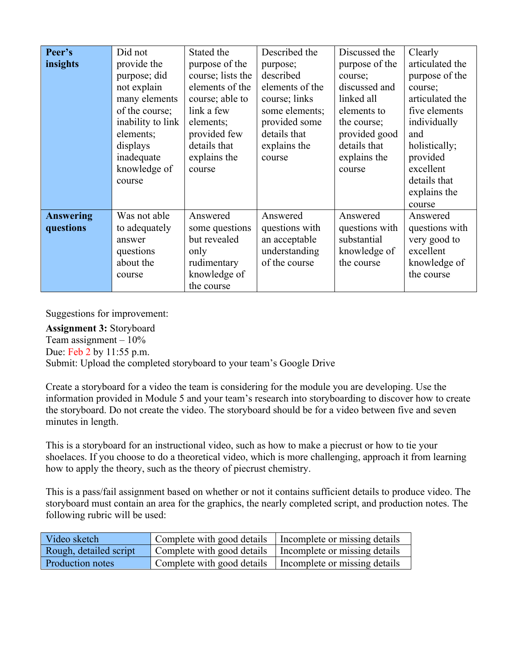| Peer's<br>insights            | Did not<br>provide the<br>purpose; did<br>not explain<br>many elements<br>of the course;<br>inability to link<br>elements;<br>displays<br>inadequate<br>knowledge of<br>course | Stated the<br>purpose of the<br>course; lists the<br>elements of the<br>course; able to<br>link a few<br>elements;<br>provided few<br>details that<br>explains the<br>course | Described the<br>purpose;<br>described<br>elements of the<br>course; links<br>some elements;<br>provided some<br>details that<br>explains the<br>course | Discussed the<br>purpose of the<br>course;<br>discussed and<br>linked all<br>elements to<br>the course;<br>provided good<br>details that<br>explains the<br>course | Clearly<br>articulated the<br>purpose of the<br>course;<br>articulated the<br>five elements<br>individually<br>and<br>holistically;<br>provided<br>excellent<br>details that |
|-------------------------------|--------------------------------------------------------------------------------------------------------------------------------------------------------------------------------|------------------------------------------------------------------------------------------------------------------------------------------------------------------------------|---------------------------------------------------------------------------------------------------------------------------------------------------------|--------------------------------------------------------------------------------------------------------------------------------------------------------------------|------------------------------------------------------------------------------------------------------------------------------------------------------------------------------|
|                               |                                                                                                                                                                                |                                                                                                                                                                              |                                                                                                                                                         |                                                                                                                                                                    | explains the<br>course                                                                                                                                                       |
| <b>Answering</b><br>questions | Was not able<br>to adequately<br>answer<br>questions<br>about the<br>course                                                                                                    | Answered<br>some questions<br>but revealed<br>only<br>rudimentary<br>knowledge of<br>the course                                                                              | Answered<br>questions with<br>an acceptable<br>understanding<br>of the course                                                                           | Answered<br>questions with<br>substantial<br>knowledge of<br>the course                                                                                            | Answered<br>questions with<br>very good to<br>excellent<br>knowledge of<br>the course                                                                                        |

Suggestions for improvement:

**Assignment 3:** Storyboard Team assignment  $-10\%$ Due: Feb 2 by 11:55 p.m. Submit: Upload the completed storyboard to your team's Google Drive

Create a storyboard for a video the team is considering for the module you are developing. Use the information provided in Module 5 and your team's research into storyboarding to discover how to create the storyboard. Do not create the video. The storyboard should be for a video between five and seven minutes in length.

This is a storyboard for an instructional video, such as how to make a piecrust or how to tie your shoelaces. If you choose to do a theoretical video, which is more challenging, approach it from learning how to apply the theory, such as the theory of piecrust chemistry.

This is a pass/fail assignment based on whether or not it contains sufficient details to produce video. The storyboard must contain an area for the graphics, the nearly completed script, and production notes. The following rubric will be used:

| Video sketch           | Complete with good details   Incomplete or missing details |
|------------------------|------------------------------------------------------------|
| Rough, detailed script | Complete with good details   Incomplete or missing details |
| Production notes       | Complete with good details   Incomplete or missing details |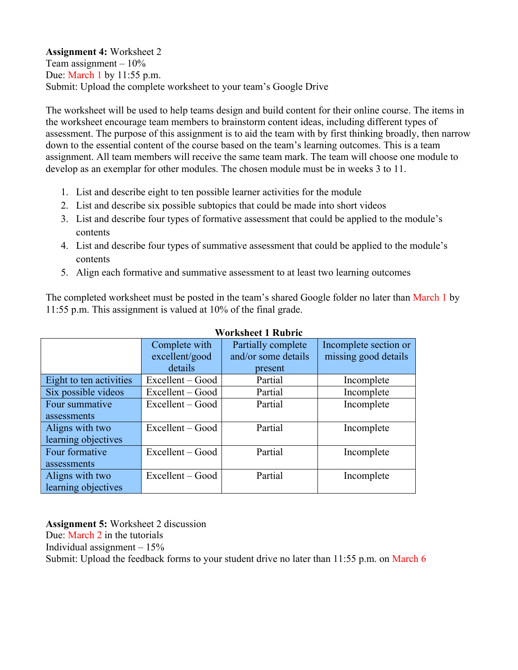**Assignment 4:** Worksheet 2 Team assignment  $-10\%$ Due: March 1 by 11:55 p.m. Submit: Upload the complete worksheet to your team's Google Drive

The worksheet will be used to help teams design and build content for their online course. The items in the worksheet encourage team members to brainstorm content ideas, including different types of assessment. The purpose of this assignment is to aid the team with by first thinking broadly, then narrow down to the essential content of the course based on the team's learning outcomes. This is a team assignment. All team members will receive the same team mark. The team will choose one module to develop as an exemplar for other modules. The chosen module must be in weeks 3 to 11.

- 1. List and describe eight to ten possible learner activities for the module
- 2. List and describe six possible subtopics that could be made into short videos
- 3. List and describe four types of formative assessment that could be applied to the module's contents
- 4. List and describe four types of summative assessment that could be applied to the module's contents
- 5. Align each formative and summative assessment to at least two learning outcomes

The completed worksheet must be posted in the team's shared Google folder no later than March 1 by 11:55 p.m. This assignment is valued at 10% of the final grade.

|                         | vvu rahtti Laupen |                     |                       |  |  |  |  |
|-------------------------|-------------------|---------------------|-----------------------|--|--|--|--|
|                         | Complete with     | Partially complete  | Incomplete section or |  |  |  |  |
|                         | excellent/good    | and/or some details | missing good details  |  |  |  |  |
|                         | details           | present             |                       |  |  |  |  |
| Eight to ten activities | Excellent – Good  | Partial             | Incomplete            |  |  |  |  |
| Six possible videos     | Excellent – Good  | Partial             | Incomplete            |  |  |  |  |
| Four summative          | Excellent – Good  | Partial             | Incomplete            |  |  |  |  |
| assessments             |                   |                     |                       |  |  |  |  |
| Aligns with two         | Excellent – Good  | Partial             | Incomplete            |  |  |  |  |
| learning objectives     |                   |                     |                       |  |  |  |  |
| Four formative          | Excellent – Good  | Partial             | Incomplete            |  |  |  |  |
| assessments             |                   |                     |                       |  |  |  |  |
| Aligns with two         | Excellent – Good  | Partial             | Incomplete            |  |  |  |  |
| learning objectives     |                   |                     |                       |  |  |  |  |

# **Worksheet 1 Rubric**

**Assignment 5:** Worksheet 2 discussion Due: March 2 in the tutorials Individual assignment  $-15%$ Submit: Upload the feedback forms to your student drive no later than 11:55 p.m. on March 6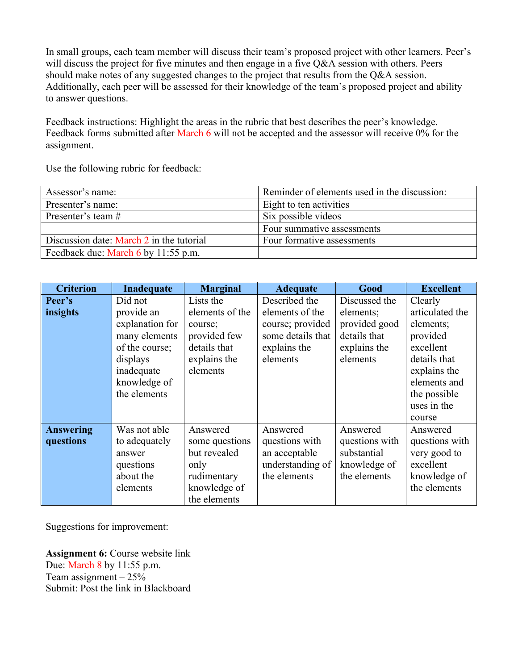In small groups, each team member will discuss their team's proposed project with other learners. Peer's will discuss the project for five minutes and then engage in a five Q&A session with others. Peers should make notes of any suggested changes to the project that results from the Q&A session. Additionally, each peer will be assessed for their knowledge of the team's proposed project and ability to answer questions.

Feedback instructions: Highlight the areas in the rubric that best describes the peer's knowledge. Feedback forms submitted after March 6 will not be accepted and the assessor will receive 0% for the assignment.

Use the following rubric for feedback:

| Assessor's name:                         | Reminder of elements used in the discussion: |
|------------------------------------------|----------------------------------------------|
| Presenter's name:                        | Eight to ten activities                      |
| Presenter's team $#$                     | Six possible videos                          |
|                                          | Four summative assessments                   |
| Discussion date: March 2 in the tutorial | Four formative assessments                   |
| Feedback due: March 6 by 11:55 p.m.      |                                              |

| <b>Criterion</b> | Inadequate      | <b>Marginal</b> | <b>Adequate</b>   | Good           | <b>Excellent</b> |
|------------------|-----------------|-----------------|-------------------|----------------|------------------|
| Peer's           | Did not         | Lists the       | Described the     | Discussed the  | Clearly          |
| insights         | provide an      | elements of the | elements of the   | elements;      | articulated the  |
|                  | explanation for | course;         | course; provided  | provided good  | elements;        |
|                  | many elements   | provided few    | some details that | details that   | provided         |
|                  | of the course;  | details that    | explains the      | explains the   | excellent        |
|                  | displays        | explains the    | elements          | elements       | details that     |
|                  | inadequate      | elements        |                   |                | explains the     |
|                  | knowledge of    |                 |                   |                | elements and     |
|                  | the elements    |                 |                   |                | the possible     |
|                  |                 |                 |                   |                | uses in the      |
|                  |                 |                 |                   |                | course           |
| <b>Answering</b> | Was not able    | Answered        | Answered          | Answered       | Answered         |
| questions        | to adequately   | some questions  | questions with    | questions with | questions with   |
|                  | answer          | but revealed    | an acceptable     | substantial    | very good to     |
|                  | questions       | only            | understanding of  | knowledge of   | excellent        |
|                  | about the       | rudimentary     | the elements      | the elements   | knowledge of     |
|                  | elements        | knowledge of    |                   |                | the elements     |
|                  |                 | the elements    |                   |                |                  |

Suggestions for improvement:

**Assignment 6:** Course website link Due: March 8 by 11:55 p.m. Team assignment  $-25\%$ Submit: Post the link in Blackboard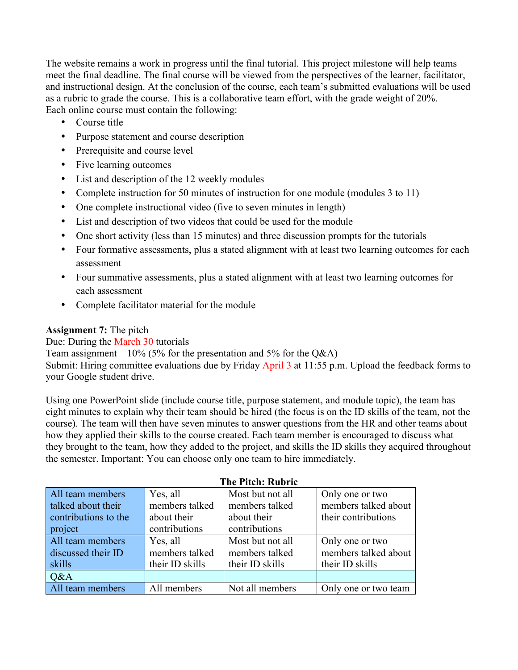The website remains a work in progress until the final tutorial. This project milestone will help teams meet the final deadline. The final course will be viewed from the perspectives of the learner, facilitator, and instructional design. At the conclusion of the course, each team's submitted evaluations will be used as a rubric to grade the course. This is a collaborative team effort, with the grade weight of 20%. Each online course must contain the following:

- Course title
- Purpose statement and course description
- Prerequisite and course level
- Five learning outcomes
- List and description of the 12 weekly modules
- Complete instruction for 50 minutes of instruction for one module (modules 3 to 11)
- One complete instructional video (five to seven minutes in length)
- List and description of two videos that could be used for the module
- One short activity (less than 15 minutes) and three discussion prompts for the tutorials
- Four formative assessments, plus a stated alignment with at least two learning outcomes for each assessment
- Four summative assessments, plus a stated alignment with at least two learning outcomes for each assessment
- Complete facilitator material for the module

# **Assignment 7:** The pitch

Due: During the March 30 tutorials

Team assignment –  $10\%$  (5% for the presentation and 5% for the Q&A)

Submit: Hiring committee evaluations due by Friday April 3 at 11:55 p.m. Upload the feedback forms to your Google student drive.

Using one PowerPoint slide (include course title, purpose statement, and module topic), the team has eight minutes to explain why their team should be hired (the focus is on the ID skills of the team, not the course). The team will then have seven minutes to answer questions from the HR and other teams about how they applied their skills to the course created. Each team member is encouraged to discuss what they brought to the team, how they added to the project, and skills the ID skills they acquired throughout the semester. Important: You can choose only one team to hire immediately.

| The Pitch: Rubric    |                 |                  |                      |  |  |  |  |
|----------------------|-----------------|------------------|----------------------|--|--|--|--|
| All team members     | Yes, all        | Most but not all | Only one or two      |  |  |  |  |
| talked about their   | members talked  | members talked   | members talked about |  |  |  |  |
| contributions to the | about their     | about their      | their contributions  |  |  |  |  |
| project              | contributions   | contributions    |                      |  |  |  |  |
| All team members     | Yes, all        | Most but not all | Only one or two      |  |  |  |  |
| discussed their ID   | members talked  | members talked   | members talked about |  |  |  |  |
| skills               | their ID skills | their ID skills  | their ID skills      |  |  |  |  |
| Q&A                  |                 |                  |                      |  |  |  |  |
| All team members     | All members     | Not all members  | Only one or two team |  |  |  |  |

#### **The Pitch: Rubric**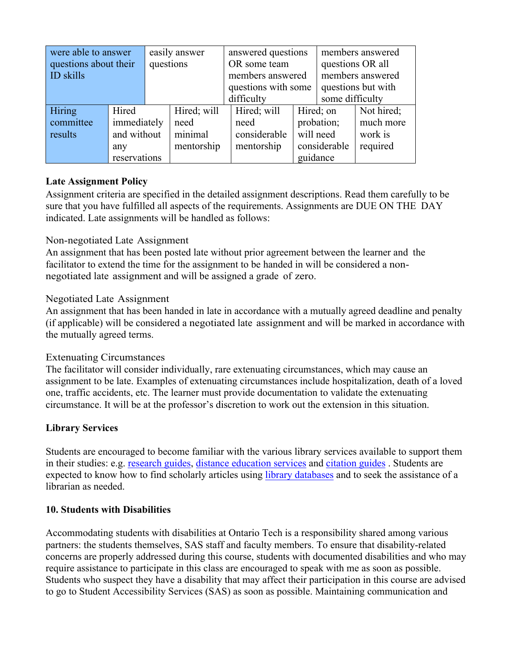| were able to answer<br>questions about their<br><b>ID</b> skills |              | easily answer<br>questions |             | answered questions<br>OR some team<br>members answered<br>questions with some<br>difficulty |           | members answered<br>questions OR all<br>members answered<br>questions but with<br>some difficulty |            |
|------------------------------------------------------------------|--------------|----------------------------|-------------|---------------------------------------------------------------------------------------------|-----------|---------------------------------------------------------------------------------------------------|------------|
|                                                                  |              |                            |             |                                                                                             |           |                                                                                                   |            |
| Hiring                                                           | Hired        |                            | Hired; will | Hired; will                                                                                 |           | Hired; on                                                                                         | Not hired; |
| committee                                                        | immediately  |                            | need        | need                                                                                        |           | probation;                                                                                        | much more  |
| results                                                          | and without  |                            | minimal     | considerable                                                                                | will need |                                                                                                   | work is    |
|                                                                  | any          |                            | mentorship  | mentorship                                                                                  |           | considerable                                                                                      | required   |
|                                                                  | reservations |                            |             |                                                                                             |           | guidance                                                                                          |            |

# **Late Assignment Policy**

Assignment criteria are specified in the detailed assignment descriptions. Read them carefully to be sure that you have fulfilled all aspects of the requirements. Assignments are DUE ON THE DAY indicated. Late assignments will be handled as follows:

# Non-negotiated Late Assignment

An assignment that has been posted late without prior agreement between the learner and the facilitator to extend the time for the assignment to be handed in will be considered a nonnegotiated late assignment and will be assigned a grade of zero.

#### Negotiated Late Assignment

An assignment that has been handed in late in accordance with a mutually agreed deadline and penalty (if applicable) will be considered a negotiated late assignment and will be marked in accordance with the mutually agreed terms.

# Extenuating Circumstances

The facilitator will consider individually, rare extenuating circumstances, which may cause an assignment to be late. Examples of extenuating circumstances include hospitalization, death of a loved one, traffic accidents, etc. The learner must provide documentation to validate the extenuating circumstance. It will be at the professor's discretion to work out the extension in this situation.

# **Library Services**

Students are encouraged to become familiar with the various library services available to support them in their studies: e.g. research guides, distance education services and citation guides . Students are expected to know how to find scholarly articles using library databases and to seek the assistance of a librarian as needed.

# **10. Students with Disabilities**

Accommodating students with disabilities at Ontario Tech is a responsibility shared among various partners: the students themselves, SAS staff and faculty members. To ensure that disability-related concerns are properly addressed during this course, students with documented disabilities and who may require assistance to participate in this class are encouraged to speak with me as soon as possible. Students who suspect they have a disability that may affect their participation in this course are advised to go to Student Accessibility Services (SAS) as soon as possible. Maintaining communication and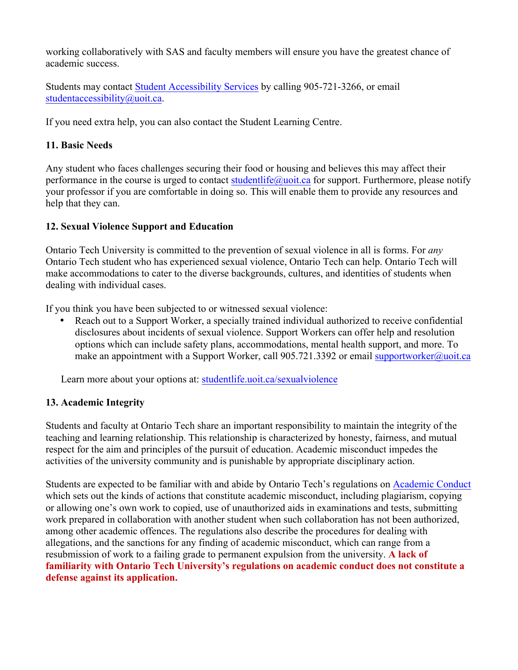working collaboratively with SAS and faculty members will ensure you have the greatest chance of academic success.

Students may contact Student Accessibility Services by calling 905-721-3266, or email studentaccessibility@uoit.ca.

If you need extra help, you can also contact the Student Learning Centre.

# **11. Basic Needs**

Any student who faces challenges securing their food or housing and believes this may affect their performance in the course is urged to contact studentlife@uoit.ca for support. Furthermore, please notify your professor if you are comfortable in doing so. This will enable them to provide any resources and help that they can.

# **12. Sexual Violence Support and Education**

Ontario Tech University is committed to the prevention of sexual violence in all is forms. For *any*  Ontario Tech student who has experienced sexual violence, Ontario Tech can help. Ontario Tech will make accommodations to cater to the diverse backgrounds, cultures, and identities of students when dealing with individual cases.

If you think you have been subjected to or witnessed sexual violence:

• Reach out to a Support Worker, a specially trained individual authorized to receive confidential disclosures about incidents of sexual violence. Support Workers can offer help and resolution options which can include safety plans, accommodations, mental health support, and more. To make an appointment with a Support Worker, call 905.721.3392 or email supportworker@uoit.ca

Learn more about your options at: studentlife.uoit.ca/sexualviolence

# **13. Academic Integrity**

Students and faculty at Ontario Tech share an important responsibility to maintain the integrity of the teaching and learning relationship. This relationship is characterized by honesty, fairness, and mutual respect for the aim and principles of the pursuit of education. Academic misconduct impedes the activities of the university community and is punishable by appropriate disciplinary action.

Students are expected to be familiar with and abide by Ontario Tech's regulations on Academic Conduct which sets out the kinds of actions that constitute academic misconduct, including plagiarism, copying or allowing one's own work to copied, use of unauthorized aids in examinations and tests, submitting work prepared in collaboration with another student when such collaboration has not been authorized, among other academic offences. The regulations also describe the procedures for dealing with allegations, and the sanctions for any finding of academic misconduct, which can range from a resubmission of work to a failing grade to permanent expulsion from the university. **A lack of familiarity with Ontario Tech University's regulations on academic conduct does not constitute a defense against its application.**